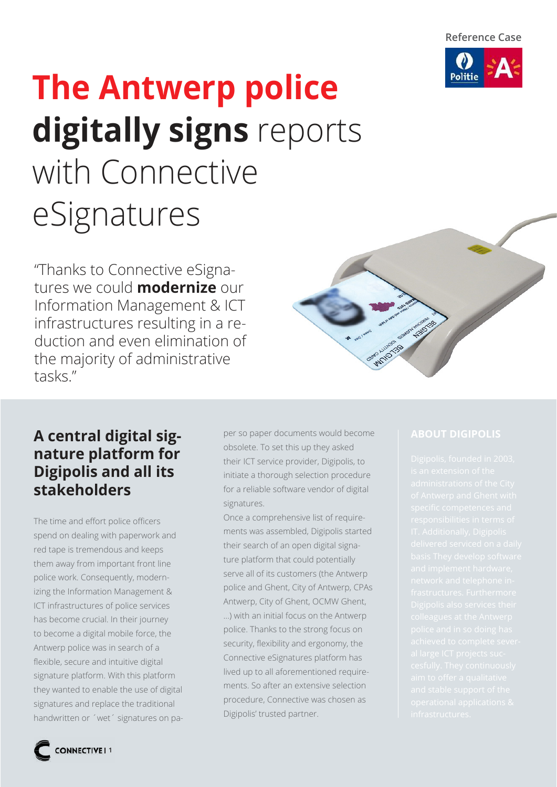

# **The Antwerp police digitally signs** reports with Connective eSignatures

"Thanks to Connective eSignatures we could **modernize** our Information Management & ICT infrastructures resulting in a reduction and even elimination of the majority of administrative tasks."



### **A central digital signature platform for Digipolis and all its stakeholders**

The time and effort police officers spend on dealing with paperwork and red tape is tremendous and keeps them away from important front line police work. Consequently, modernizing the Information Management & ICT infrastructures of police services has become crucial. In their journey to become a digital mobile force, the Antwerp police was in search of a flexible, secure and intuitive digital signature platform. With this platform they wanted to enable the use of digital signatures and replace the traditional handwritten or ´wet´ signatures on paper so paper documents would become obsolete. To set this up they asked their ICT service provider, Digipolis, to initiate a thorough selection procedure for a reliable software vendor of digital signatures.

Once a comprehensive list of requirements was assembled, Digipolis started their search of an open digital signature platform that could potentially serve all of its customers (the Antwerp police and Ghent, City of Antwerp, CPAs Antwerp, City of Ghent, OCMW Ghent, ...) with an initial focus on the Antwerp police. Thanks to the strong focus on security, flexibility and ergonomy, the Connective eSignatures platform has lived up to all aforementioned requirements. So after an extensive selection procedure, Connective was chosen as Digipolis' trusted partner.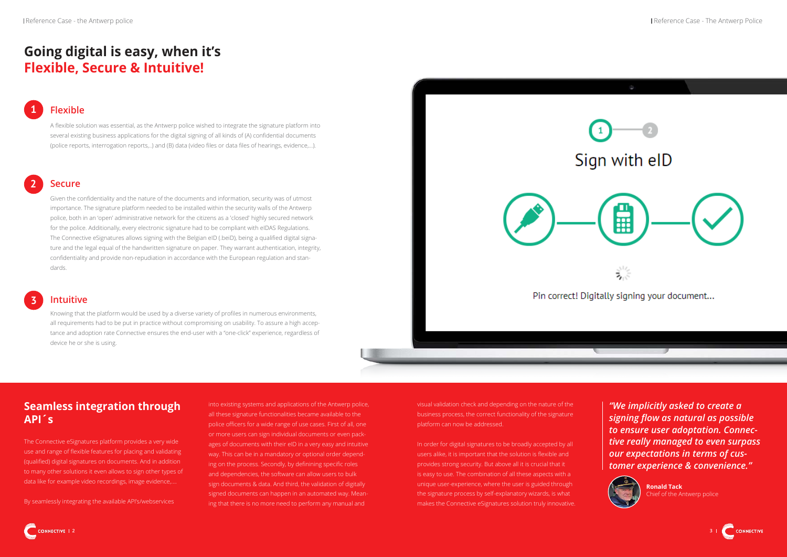## **Going digital is easy, when it's Flexible, Secure & Intuitive!**

Knowing that the platform would be used by a diverse variety of profiles in numerous environments, all requirements had to be put in practice without compromising on usability. To assure a high acceptance and adoption rate Connective ensures the end-user with a "one-click" experience, regardless of device he or she is using.



Given the confidentiality and the nature of the documents and information, security was of utmost importance. The signature platform needed to be installed within the security walls of the Antwerp police, both in an 'open' administrative network for the citizens as a 'closed' highly secured network for the police. Additionally, every electronic signature had to be compliant with eIDAS Regulations. The Connective eSignatures allows signing with the Belgian eID (.beiD), being a qualified digital signature and the legal equal of the handwritten signature on paper. They warrant authentication, integrity, confidentiality and provide non-repudiation in accordance with the European regulation and standards.

#### **Flexible 1**

into existing systems and applications of the Antwerp police. all these signature functionalities became available to the police officers for a wide range of use cases. First of all, one or more users can sign individual documents or even packages of documents with their eID in a very easy and intuitive way. This can be in a mandatory or optional order depending on the process. Secondly, by definining specific roles and dependencies, the software can allow users to bulk sign documents & data. And third, the validation of digitally signed documents can happen in an automated way. Meaning that there is no more need to perform any manual and

A flexible solution was essential, as the Antwerp police wished to integrate the signature platform into several existing business applications for the digital signing of all kinds of (A) confidential documents (police reports, interrogation reports,..) and (B) data (video files or data files of hearings, evidence,...).

#### **Intuitive**

### **Secure**

**2**

### **3**

### **Seamless integration through API´s**

The Connective eSignatures platform provides a very wide use and range of flexible features for placing and validating (qualified) digital signatures on documents. And in addition to many other solutions it even allows to sign other types of data like for example video recordings, image evidence,….

By seamlessly integrating the available API's/webservices

visual validation check and depending on the nature of the business process, the correct functionality of the signature platform can now be addressed.

In order for digital signatures to be broadly accepted by all users alike, it is important that the solution is flexible and provides strong security. But above all it is crucial that it is easy to use. The combination of all these aspects with a unique user-experience, where the user is guided through the signature process by self-explanatory wizards, is what makes the Connective eSignatures solution truly innovative.

*"We implicitly asked to create a signing flow as natural as possible to ensure user adoptation. Connective really managed to even surpass our expectations in terms of customer experience & convenience."* 





**Ronald Tack** Chief of the Antwerp police